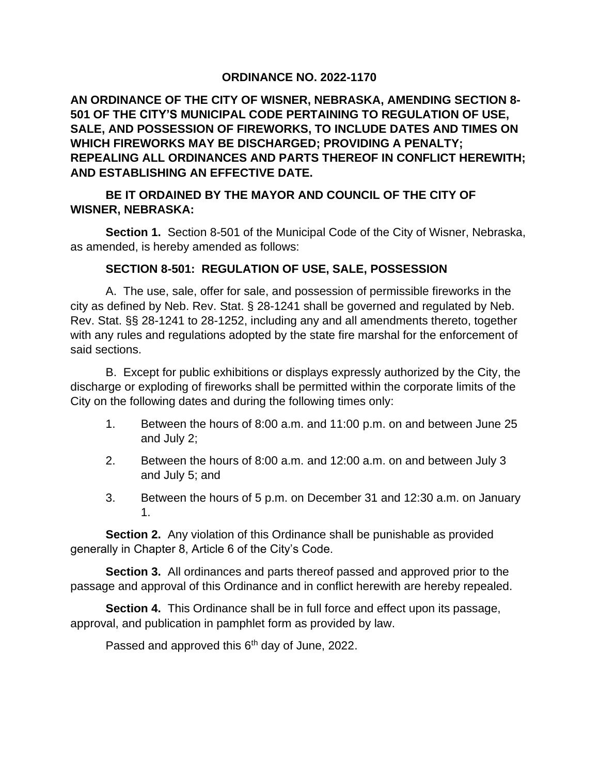## **ORDINANCE NO. 2022-1170**

**AN ORDINANCE OF THE CITY OF WISNER, NEBRASKA, AMENDING SECTION 8- 501 OF THE CITY'S MUNICIPAL CODE PERTAINING TO REGULATION OF USE, SALE, AND POSSESSION OF FIREWORKS, TO INCLUDE DATES AND TIMES ON WHICH FIREWORKS MAY BE DISCHARGED; PROVIDING A PENALTY; REPEALING ALL ORDINANCES AND PARTS THEREOF IN CONFLICT HEREWITH; AND ESTABLISHING AN EFFECTIVE DATE.**

## **BE IT ORDAINED BY THE MAYOR AND COUNCIL OF THE CITY OF WISNER, NEBRASKA:**

**Section 1.** Section 8-501 of the Municipal Code of the City of Wisner, Nebraska, as amended, is hereby amended as follows:

## **SECTION 8-501: REGULATION OF USE, SALE, POSSESSION**

A. The use, sale, offer for sale, and possession of permissible fireworks in the city as defined by Neb. Rev. Stat. § 28-1241 shall be governed and regulated by Neb. Rev. Stat. §§ 28-1241 to 28-1252, including any and all amendments thereto, together with any rules and regulations adopted by the state fire marshal for the enforcement of said sections.

B. Except for public exhibitions or displays expressly authorized by the City, the discharge or exploding of fireworks shall be permitted within the corporate limits of the City on the following dates and during the following times only:

- 1. Between the hours of 8:00 a.m. and 11:00 p.m. on and between June 25 and July 2;
- 2. Between the hours of 8:00 a.m. and 12:00 a.m. on and between July 3 and July 5; and
- 3. Between the hours of 5 p.m. on December 31 and 12:30 a.m. on January 1.

**Section 2.** Any violation of this Ordinance shall be punishable as provided generally in Chapter 8, Article 6 of the City's Code.

**Section 3.** All ordinances and parts thereof passed and approved prior to the passage and approval of this Ordinance and in conflict herewith are hereby repealed.

**Section 4.** This Ordinance shall be in full force and effect upon its passage, approval, and publication in pamphlet form as provided by law.

Passed and approved this 6<sup>th</sup> day of June, 2022.